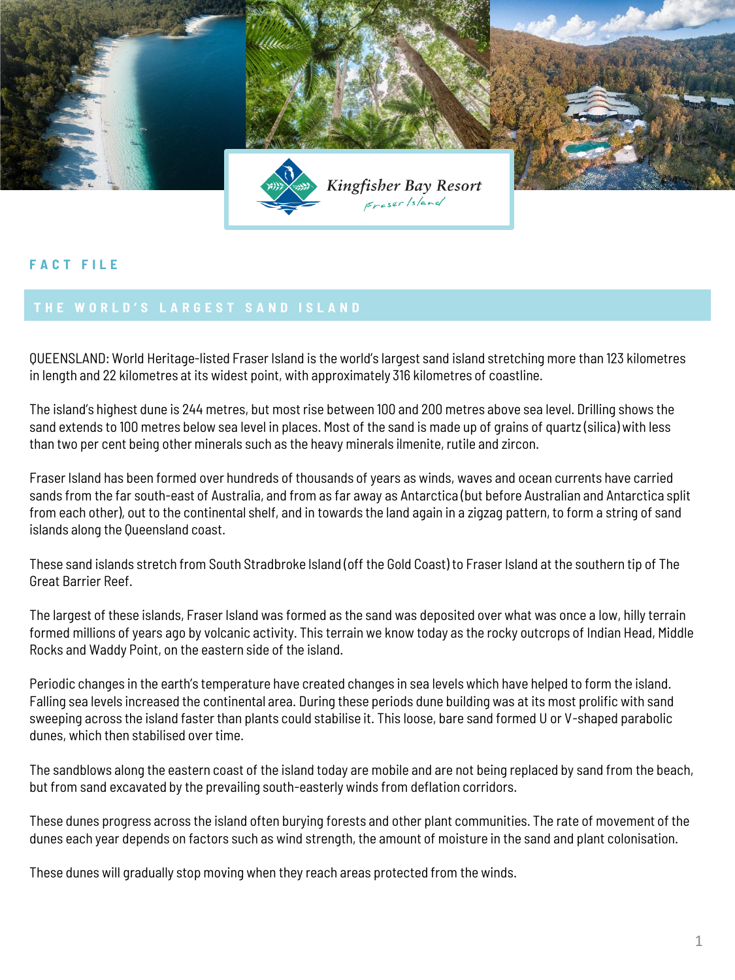

## **F A C T F I L E**

QUEENSLAND: World Heritage-listed Fraser Island is the world's largest sand island stretching more than 123 kilometres in length and 22 kilometres at its widest point, with approximately 316 kilometres of coastline.

The island's highest dune is 244 metres, but most rise between 100 and 200 metres above sea level. Drilling shows the sand extends to 100 metres below sea level in places. Most of the sand is made up of grains of quartz (silica) with less than two per cent being other minerals such as the heavy minerals ilmenite, rutile and zircon.

Fraser Island has been formed over hundreds of thousands of years as winds, waves and ocean currents have carried sands from the far south-east of Australia, and from as far away as Antarctica (but before Australian and Antarctica split from each other), out to the continental shelf, and in towards the land again in a zigzag pattern, to form a string of sand islands along the Queensland coast.

These sand islands stretch from South Stradbroke Island (off the Gold Coast) to Fraser Island at the southern tip of The Great Barrier Reef.

The largest of these islands, Fraser Island was formed as the sand was deposited over what was once a low, hilly terrain formed millions of years ago by volcanic activity. This terrain we know today as the rocky outcrops of Indian Head, Middle Rocks and Waddy Point, on the eastern side of the island.

Periodic changes in the earth's temperature have created changes in sea levels which have helped to form the island. Falling sea levels increased the continental area. During these periods dune building was at its most prolific with sand sweeping across the island faster than plants could stabilise it. This loose, bare sand formed U or V-shaped parabolic dunes, which then stabilised over time.

The sandblows along the eastern coast of the island today are mobile and are not being replaced by sand from the beach, but from sand excavated by the prevailing south-easterly winds from deflation corridors.

These dunes progress across the island often burying forests and other plant communities. The rate of movement of the dunes each year depends on factors such as wind strength, the amount of moisture in the sand and plant colonisation.

These dunes will gradually stop moving when they reach areas protected from the winds.